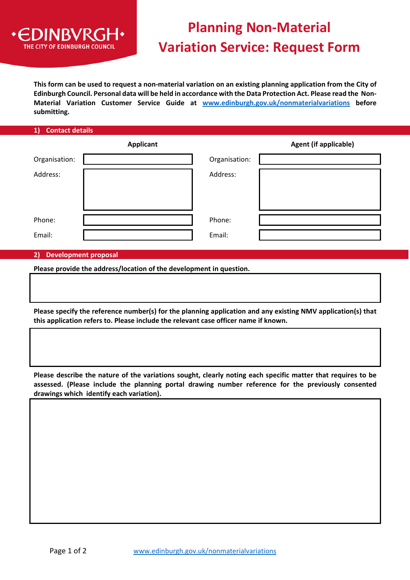

## **Planning Non-Material Variation Service: Request Form**

**This form can be used to request a non-material variation on an existing planning application from the City of Edinburgh Council. Personal data will be held in accordance with the Data Protection Act. Please read the Non-Material Variation Customer Service Guide at [www.edinburgh.gov.uk/nonmaterialvariations](http://www.edinburgh.gov.uk/nonmaterialvariations) before submitting.** 

|  |  | 1) Contact details |
|--|--|--------------------|
|  |  |                    |
|  |  |                    |

|               | <b>Applicant</b> |               | <b>Agent (if applicable)</b> |
|---------------|------------------|---------------|------------------------------|
| Organisation: |                  | Organisation: |                              |
| Address:      |                  | Address:      |                              |
| Phone:        |                  | Phone:        |                              |
| Email:        |                  | Email:        |                              |

## **2) Development proposal**

**Please provide the address/location of the development in question.**

**Please specify the reference number(s) for the planning application and any existing NMV application(s) that this application refers to. Please include the relevant case officer name if known.** 

**Please describe the nature of the variations sought, clearly noting each specific matter that requires to be assessed. (Please include the planning portal drawing number reference for the previously consented drawings which identify each variation).**